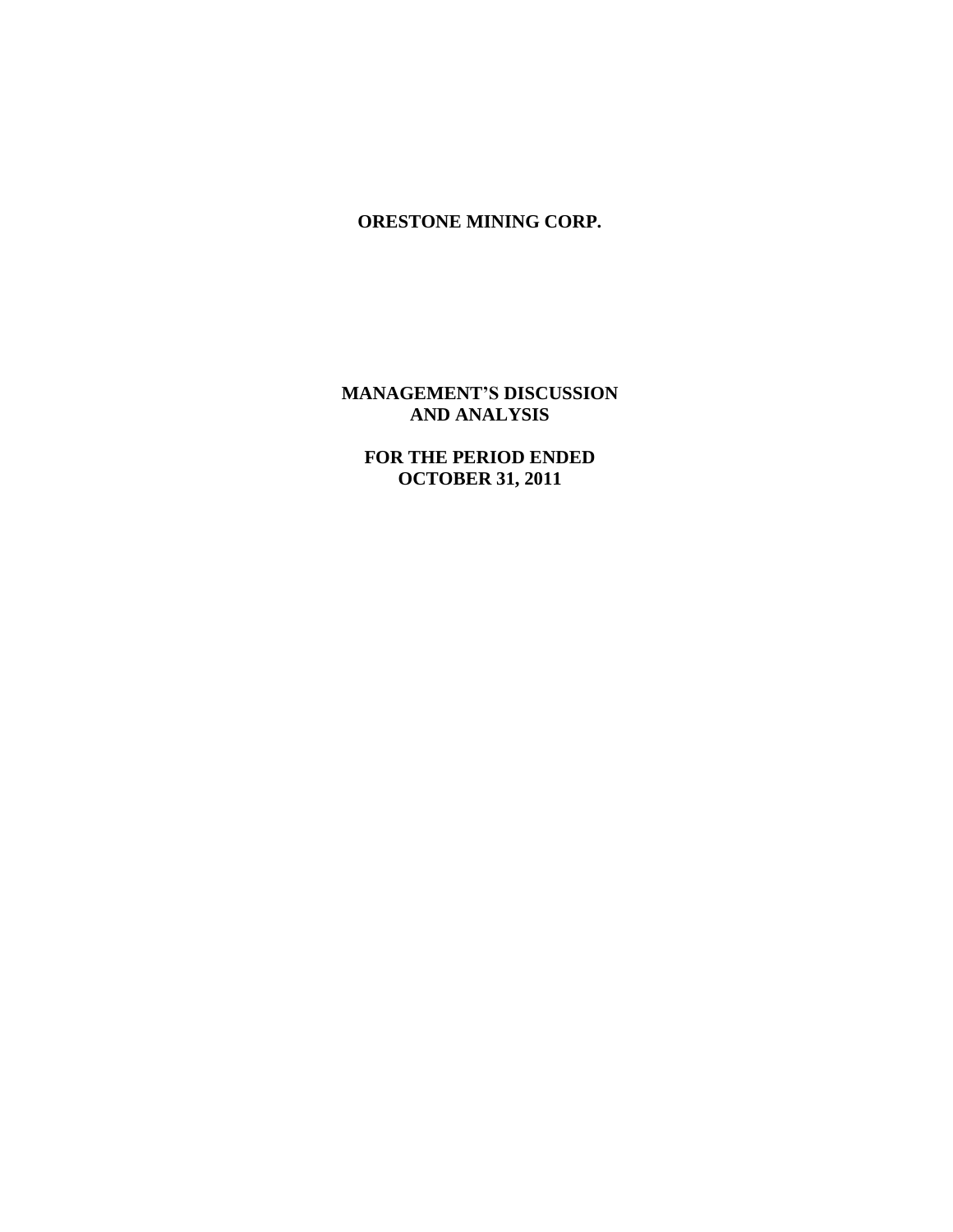## **MANAGEMENT'S DISCUSSION AND ANALYSIS**

**FOR THE PERIOD ENDED OCTOBER 31, 2011**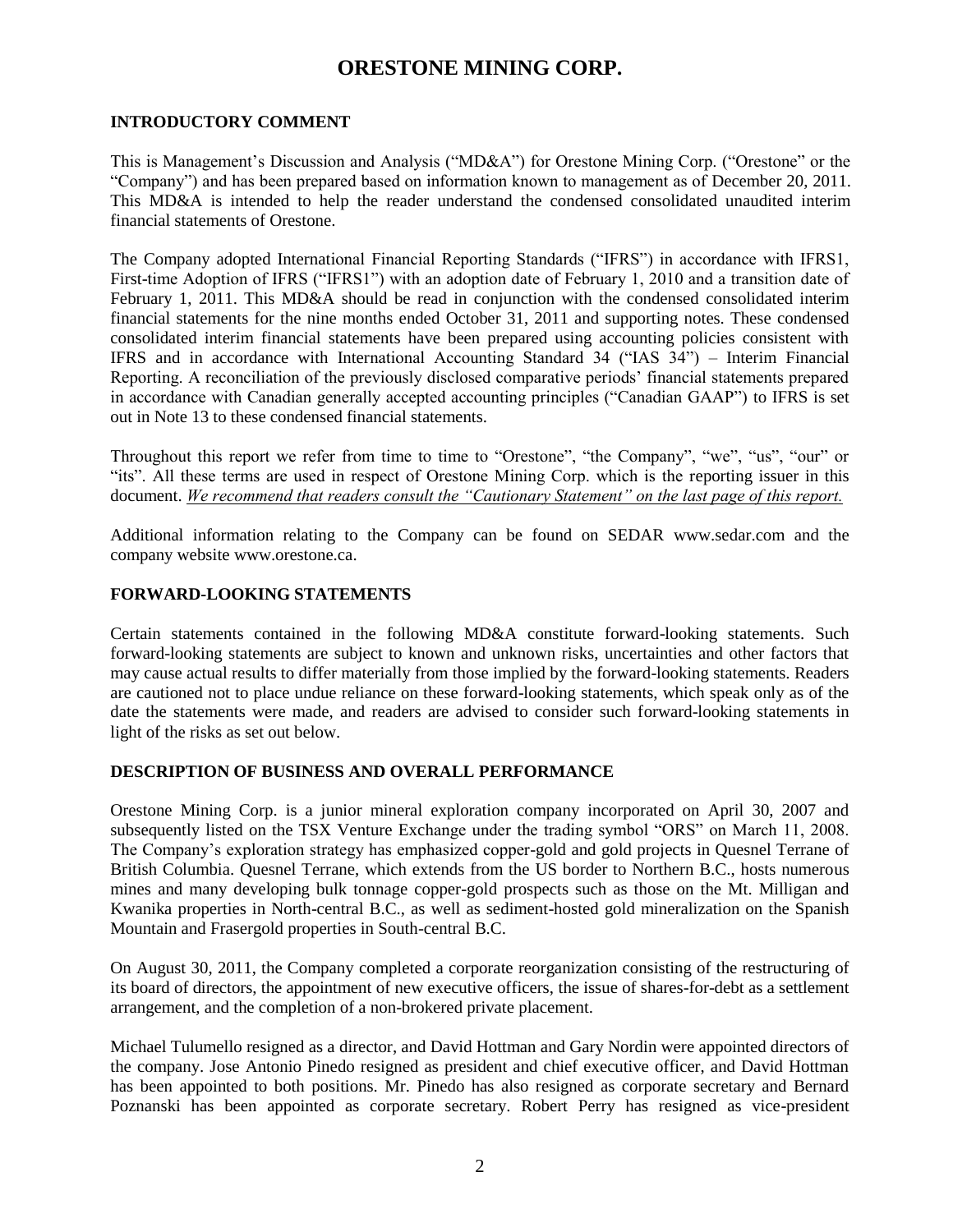#### **INTRODUCTORY COMMENT**

This is Management's Discussion and Analysis ("MD&A") for Orestone Mining Corp. ("Orestone" or the "Company") and has been prepared based on information known to management as of December 20, 2011. This MD&A is intended to help the reader understand the condensed consolidated unaudited interim financial statements of Orestone.

The Company adopted International Financial Reporting Standards ("IFRS") in accordance with IFRS1, First-time Adoption of IFRS ("IFRS1") with an adoption date of February 1, 2010 and a transition date of February 1, 2011. This MD&A should be read in conjunction with the condensed consolidated interim financial statements for the nine months ended October 31, 2011 and supporting notes. These condensed consolidated interim financial statements have been prepared using accounting policies consistent with IFRS and in accordance with International Accounting Standard 34 ("IAS 34") – Interim Financial Reporting. A reconciliation of the previously disclosed comparative periods' financial statements prepared in accordance with Canadian generally accepted accounting principles ("Canadian GAAP") to IFRS is set out in Note 13 to these condensed financial statements.

Throughout this report we refer from time to time to "Orestone", "the Company", "we", "us", "our" or "its". All these terms are used in respect of Orestone Mining Corp. which is the reporting issuer in this document. *We recommend that readers consult the "Cautionary Statement" on the last page of this report.*

Additional information relating to the Company can be found on SEDAR www.sedar.com and the company website www.orestone.ca.

### **FORWARD-LOOKING STATEMENTS**

Certain statements contained in the following MD&A constitute forward-looking statements. Such forward-looking statements are subject to known and unknown risks, uncertainties and other factors that may cause actual results to differ materially from those implied by the forward-looking statements. Readers are cautioned not to place undue reliance on these forward-looking statements, which speak only as of the date the statements were made, and readers are advised to consider such forward-looking statements in light of the risks as set out below.

### **DESCRIPTION OF BUSINESS AND OVERALL PERFORMANCE**

Orestone Mining Corp. is a junior mineral exploration company incorporated on April 30, 2007 and subsequently listed on the TSX Venture Exchange under the trading symbol "ORS" on March 11, 2008. The Company's exploration strategy has emphasized copper-gold and gold projects in Quesnel Terrane of British Columbia. Quesnel Terrane, which extends from the US border to Northern B.C., hosts numerous mines and many developing bulk tonnage copper-gold prospects such as those on the Mt. Milligan and Kwanika properties in North-central B.C., as well as sediment-hosted gold mineralization on the Spanish Mountain and Frasergold properties in South-central B.C.

On August 30, 2011, the Company completed a corporate reorganization consisting of the restructuring of its board of directors, the appointment of new executive officers, the issue of shares-for-debt as a settlement arrangement, and the completion of a non-brokered private placement.

Michael Tulumello resigned as a director, and David Hottman and Gary Nordin were appointed directors of the company. Jose Antonio Pinedo resigned as president and chief executive officer, and David Hottman has been appointed to both positions. Mr. Pinedo has also resigned as corporate secretary and Bernard Poznanski has been appointed as corporate secretary. Robert Perry has resigned as vice-president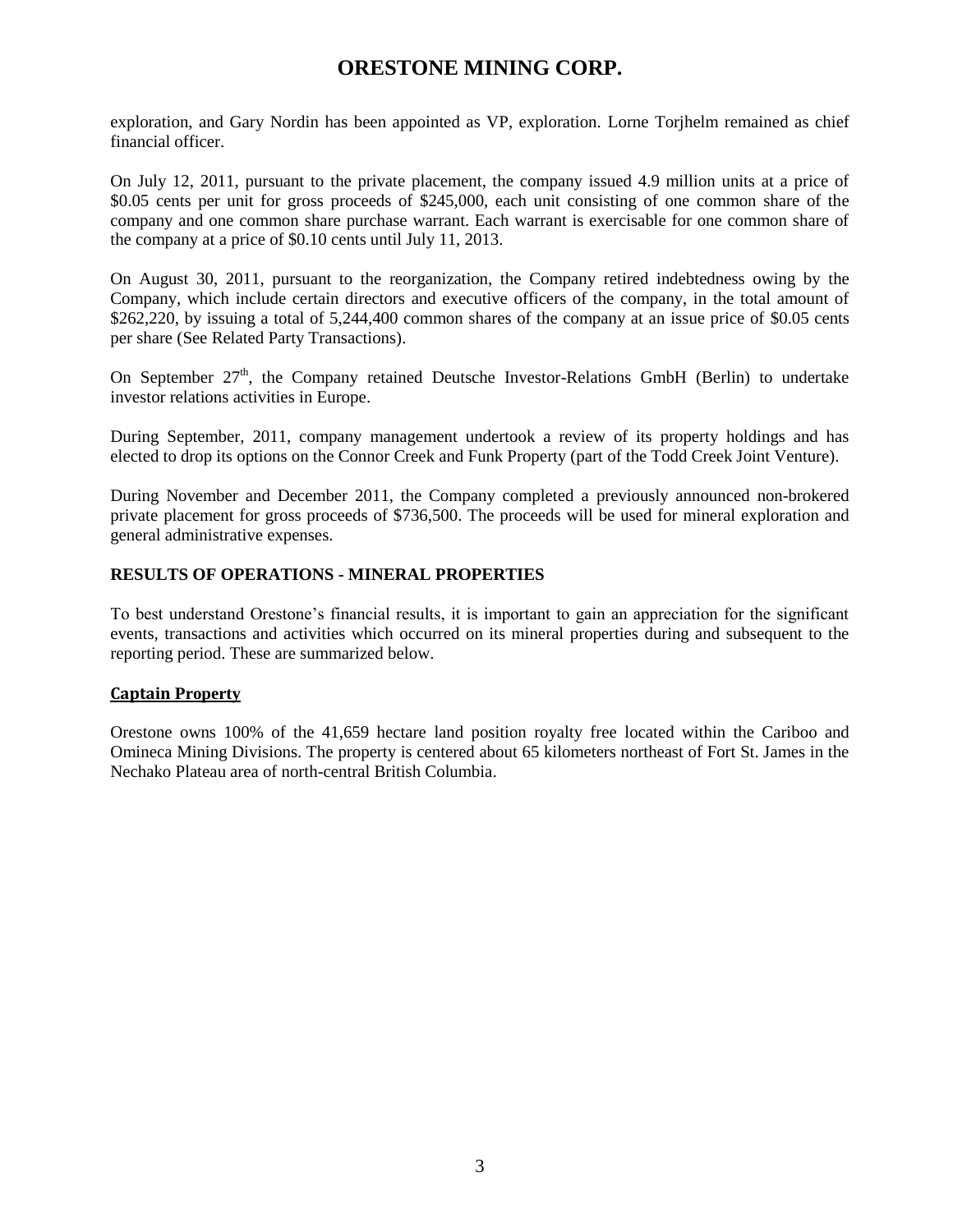exploration, and Gary Nordin has been appointed as VP, exploration. Lorne Torjhelm remained as chief financial officer.

On July 12, 2011, pursuant to the private placement, the company issued 4.9 million units at a price of \$0.05 cents per unit for gross proceeds of \$245,000, each unit consisting of one common share of the company and one common share purchase warrant. Each warrant is exercisable for one common share of the company at a price of \$0.10 cents until July 11, 2013.

On August 30, 2011, pursuant to the reorganization, the Company retired indebtedness owing by the Company, which include certain directors and executive officers of the company, in the total amount of \$262,220, by issuing a total of 5,244,400 common shares of the company at an issue price of \$0.05 cents per share (See Related Party Transactions).

On September 27<sup>th</sup>, the Company retained Deutsche Investor-Relations GmbH (Berlin) to undertake investor relations activities in Europe.

During September, 2011, company management undertook a review of its property holdings and has elected to drop its options on the Connor Creek and Funk Property (part of the Todd Creek Joint Venture).

During November and December 2011, the Company completed a previously announced non-brokered private placement for gross proceeds of \$736,500. The proceeds will be used for mineral exploration and general administrative expenses.

### **RESULTS OF OPERATIONS - MINERAL PROPERTIES**

To best understand Orestone's financial results, it is important to gain an appreciation for the significant events, transactions and activities which occurred on its mineral properties during and subsequent to the reporting period. These are summarized below.

### **Captain Property**

Orestone owns 100% of the 41,659 hectare land position royalty free located within the Cariboo and Omineca Mining Divisions. The property is centered about 65 kilometers northeast of Fort St. James in the Nechako Plateau area of north-central British Columbia.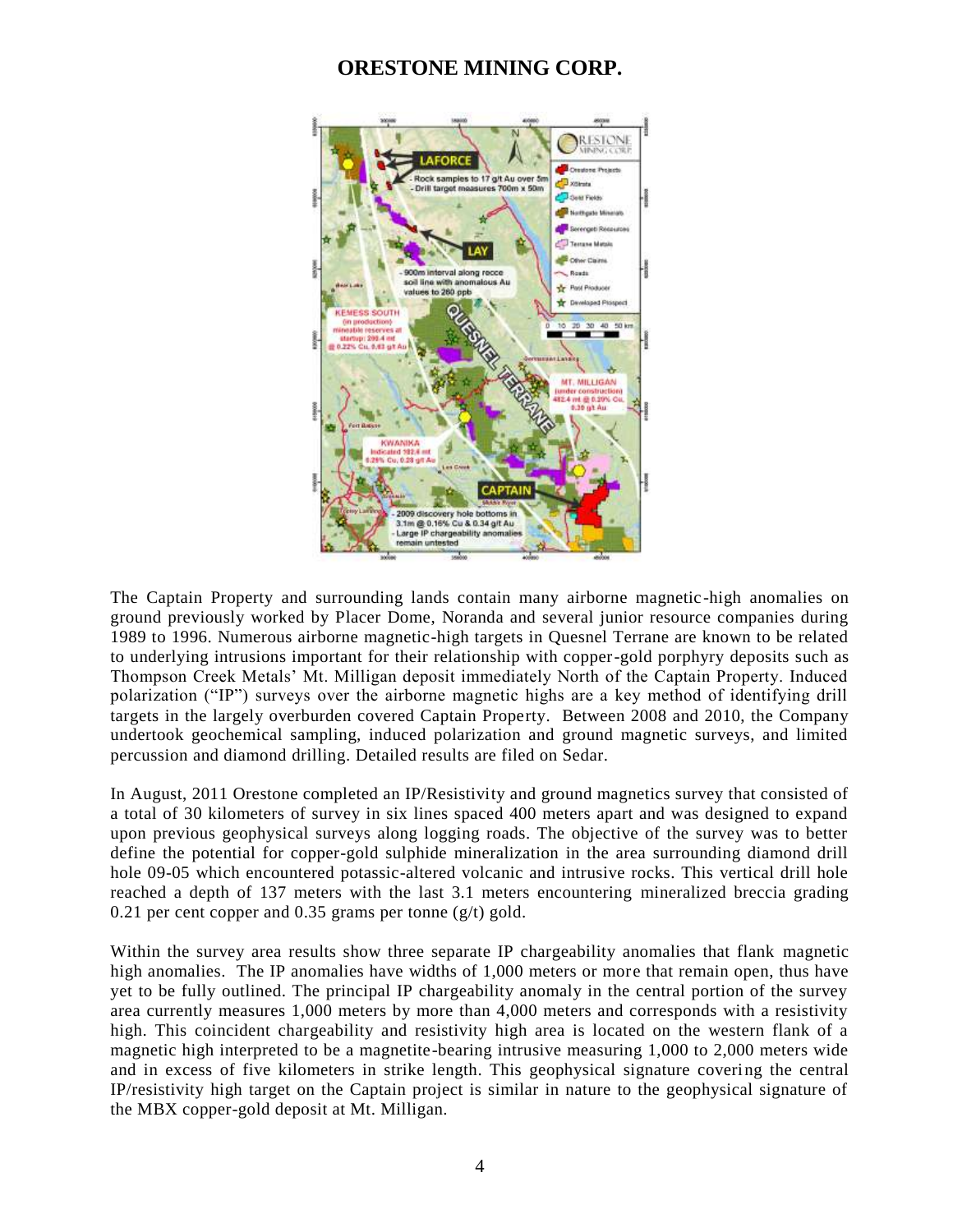

The Captain Property and surrounding lands contain many airborne magnetic-high anomalies on ground previously worked by Placer Dome, Noranda and several junior resource companies during 1989 to 1996. Numerous airborne magnetic-high targets in Quesnel Terrane are known to be related to underlying intrusions important for their relationship with copper-gold porphyry deposits such as Thompson Creek Metals' Mt. Milligan deposit immediately North of the Captain Property. Induced polarization ("IP") surveys over the airborne magnetic highs are a key method of identifying drill targets in the largely overburden covered Captain Property. Between 2008 and 2010, the Company undertook geochemical sampling, induced polarization and ground magnetic surveys, and limited percussion and diamond drilling. Detailed results are filed on Sedar.

In August, 2011 Orestone completed an IP/Resistivity and ground magnetics survey that consisted of a total of 30 kilometers of survey in six lines spaced 400 meters apart and was designed to expand upon previous geophysical surveys along logging roads. The objective of the survey was to better define the potential for copper-gold sulphide mineralization in the area surrounding diamond drill hole 09-05 which encountered potassic-altered volcanic and intrusive rocks. This vertical drill hole reached a depth of 137 meters with the last 3.1 meters encountering mineralized breccia grading 0.21 per cent copper and 0.35 grams per tonne  $(g/t)$  gold.

Within the survey area results show three separate IP chargeability anomalies that flank magnetic high anomalies. The IP anomalies have widths of 1,000 meters or more that remain open, thus have yet to be fully outlined. The principal IP chargeability anomaly in the central portion of the survey area currently measures 1,000 meters by more than 4,000 meters and corresponds with a resistivity high. This coincident chargeability and resistivity high area is located on the western flank of a magnetic high interpreted to be a magnetite-bearing intrusive measuring 1,000 to 2,000 meters wide and in excess of five kilometers in strike length. This geophysical signature covering the central IP/resistivity high target on the Captain project is similar in nature to the geophysical signature of the MBX copper-gold deposit at Mt. Milligan.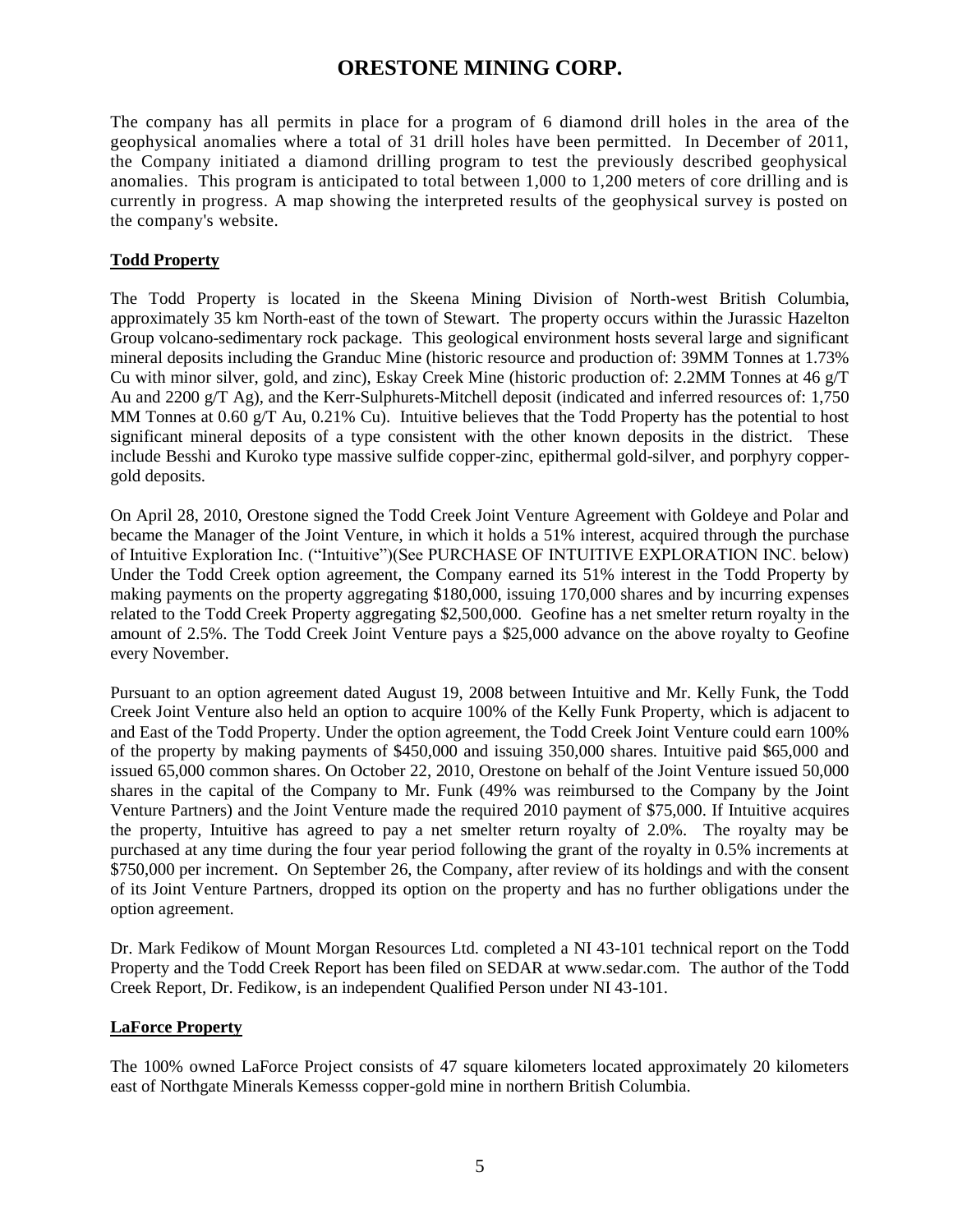The company has all permits in place for a program of 6 diamond drill holes in the area of the geophysical anomalies where a total of 31 drill holes have been permitted. In December of 2011, the Company initiated a diamond drilling program to test the previously described geophysical anomalies. This program is anticipated to total between 1,000 to 1,200 meters of core drilling and is currently in progress. A map showing the interpreted results of the geophysical survey is posted on the company's website.

### **Todd Property**

The Todd Property is located in the Skeena Mining Division of North-west British Columbia, approximately 35 km North-east of the town of Stewart. The property occurs within the Jurassic Hazelton Group volcano-sedimentary rock package. This geological environment hosts several large and significant mineral deposits including the Granduc Mine (historic resource and production of: 39MM Tonnes at 1.73% Cu with minor silver, gold, and zinc), Eskay Creek Mine (historic production of: 2.2MM Tonnes at 46 g/T Au and 2200 g/T Ag), and the Kerr-Sulphurets-Mitchell deposit (indicated and inferred resources of: 1,750 MM Tonnes at 0.60 g/T Au, 0.21% Cu). Intuitive believes that the Todd Property has the potential to host significant mineral deposits of a type consistent with the other known deposits in the district. These include Besshi and Kuroko type massive sulfide copper-zinc, epithermal gold-silver, and porphyry coppergold deposits.

On April 28, 2010, Orestone signed the Todd Creek Joint Venture Agreement with Goldeye and Polar and became the Manager of the Joint Venture, in which it holds a 51% interest, acquired through the purchase of Intuitive Exploration Inc. ("Intuitive")(See PURCHASE OF INTUITIVE EXPLORATION INC. below) Under the Todd Creek option agreement, the Company earned its 51% interest in the Todd Property by making payments on the property aggregating \$180,000, issuing 170,000 shares and by incurring expenses related to the Todd Creek Property aggregating \$2,500,000. Geofine has a net smelter return royalty in the amount of 2.5%. The Todd Creek Joint Venture pays a \$25,000 advance on the above royalty to Geofine every November.

Pursuant to an option agreement dated August 19, 2008 between Intuitive and Mr. Kelly Funk, the Todd Creek Joint Venture also held an option to acquire 100% of the Kelly Funk Property, which is adjacent to and East of the Todd Property. Under the option agreement, the Todd Creek Joint Venture could earn 100% of the property by making payments of \$450,000 and issuing 350,000 shares. Intuitive paid \$65,000 and issued 65,000 common shares. On October 22, 2010, Orestone on behalf of the Joint Venture issued 50,000 shares in the capital of the Company to Mr. Funk (49% was reimbursed to the Company by the Joint Venture Partners) and the Joint Venture made the required 2010 payment of \$75,000. If Intuitive acquires the property, Intuitive has agreed to pay a net smelter return royalty of 2.0%. The royalty may be purchased at any time during the four year period following the grant of the royalty in 0.5% increments at \$750,000 per increment. On September 26, the Company, after review of its holdings and with the consent of its Joint Venture Partners, dropped its option on the property and has no further obligations under the option agreement.

Dr. Mark Fedikow of Mount Morgan Resources Ltd. completed a NI 43-101 technical report on the Todd Property and the Todd Creek Report has been filed on SEDAR at [www.sedar.com.](http://www.sedar.com/) The author of the Todd Creek Report, Dr. Fedikow, is an independent Qualified Person under NI 43-101.

### **LaForce Property**

The 100% owned LaForce Project consists of 47 square kilometers located approximately 20 kilometers east of Northgate Minerals Kemesss copper-gold mine in northern British Columbia.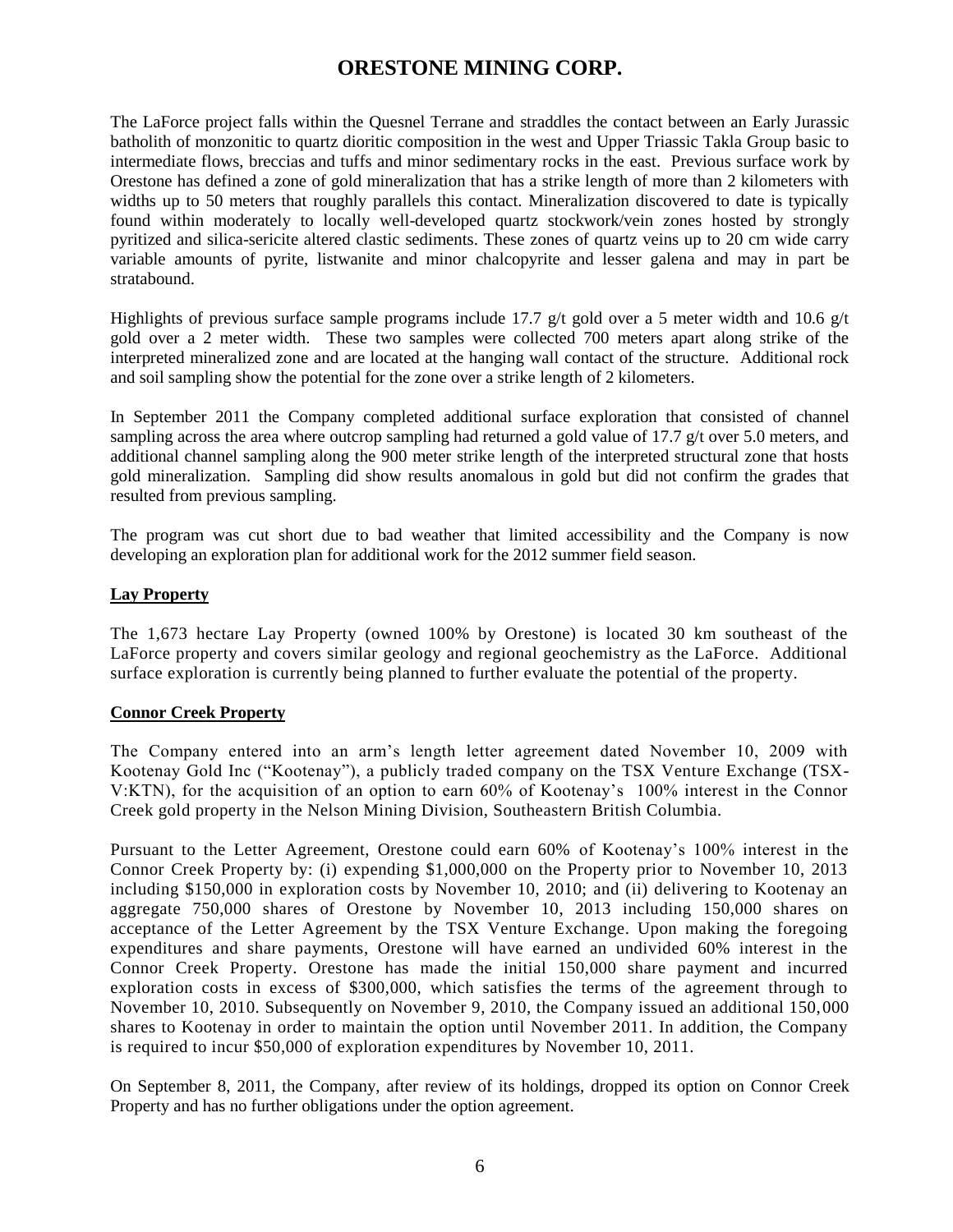The LaForce project falls within the Quesnel Terrane and straddles the contact between an Early Jurassic batholith of monzonitic to quartz dioritic composition in the west and Upper Triassic Takla Group basic to intermediate flows, breccias and tuffs and minor sedimentary rocks in the east. Previous surface work by Orestone has defined a zone of gold mineralization that has a strike length of more than 2 kilometers with widths up to 50 meters that roughly parallels this contact. Mineralization discovered to date is typically found within moderately to locally well-developed quartz stockwork/vein zones hosted by strongly pyritized and silica-sericite altered clastic sediments. These zones of quartz veins up to 20 cm wide carry variable amounts of pyrite, listwanite and minor chalcopyrite and lesser galena and may in part be stratabound.

Highlights of previous surface sample programs include 17.7 g/t gold over a 5 meter width and 10.6 g/t gold over a 2 meter width. These two samples were collected 700 meters apart along strike of the interpreted mineralized zone and are located at the hanging wall contact of the structure. Additional rock and soil sampling show the potential for the zone over a strike length of 2 kilometers.

In September 2011 the Company completed additional surface exploration that consisted of channel sampling across the area where outcrop sampling had returned a gold value of 17.7 g/t over 5.0 meters, and additional channel sampling along the 900 meter strike length of the interpreted structural zone that hosts gold mineralization. Sampling did show results anomalous in gold but did not confirm the grades that resulted from previous sampling.

The program was cut short due to bad weather that limited accessibility and the Company is now developing an exploration plan for additional work for the 2012 summer field season.

### **Lay Property**

The 1,673 hectare Lay Property (owned 100% by Orestone) is located 30 km southeast of the LaForce property and covers similar geology and regional geochemistry as the LaForce. Additional surface exploration is currently being planned to further evaluate the potential of the property.

### **Connor Creek Property**

The Company entered into an arm's length letter agreement dated November 10, 2009 with Kootenay Gold Inc ("Kootenay"), a publicly traded company on the TSX Venture Exchange (TSX-V:KTN), for the acquisition of an option to earn 60% of Kootenay's 100% interest in the Connor Creek gold property in the Nelson Mining Division, Southeastern British Columbia.

Pursuant to the Letter Agreement, Orestone could earn 60% of Kootenay's 100% interest in the Connor Creek Property by: (i) expending \$1,000,000 on the Property prior to November 10, 2013 including \$150,000 in exploration costs by November 10, 2010; and (ii) delivering to Kootenay an aggregate 750,000 shares of Orestone by November 10, 2013 including 150,000 shares on acceptance of the Letter Agreement by the TSX Venture Exchange. Upon making the foregoing expenditures and share payments, Orestone will have earned an undivided 60% interest in the Connor Creek Property. Orestone has made the initial 150,000 share payment and incurred exploration costs in excess of \$300,000, which satisfies the terms of the agreement through to November 10, 2010. Subsequently on November 9, 2010, the Company issued an additional 150,000 shares to Kootenay in order to maintain the option until November 2011. In addition, the Company is required to incur \$50,000 of exploration expenditures by November 10, 2011.

On September 8, 2011, the Company, after review of its holdings, dropped its option on Connor Creek Property and has no further obligations under the option agreement.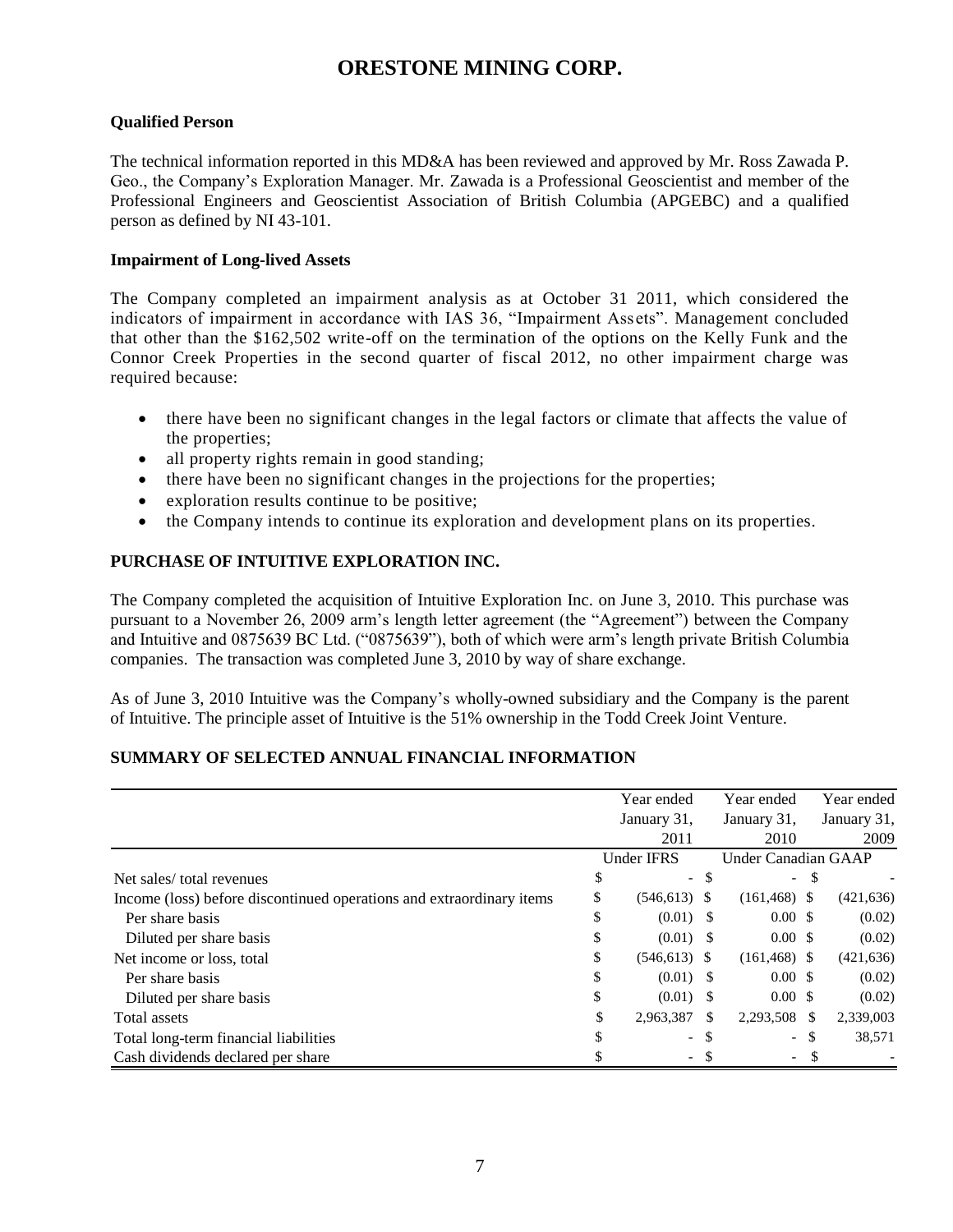### **Qualified Person**

The technical information reported in this MD&A has been reviewed and approved by Mr. Ross Zawada P. Geo., the Company's Exploration Manager. Mr. Zawada is a Professional Geoscientist and member of the Professional Engineers and Geoscientist Association of British Columbia (APGEBC) and a qualified person as defined by NI 43-101.

### **Impairment of Long-lived Assets**

The Company completed an impairment analysis as at October 31 2011, which considered the indicators of impairment in accordance with IAS 36, "Impairment Assets". Management concluded that other than the \$162,502 write-off on the termination of the options on the Kelly Funk and the Connor Creek Properties in the second quarter of fiscal 2012, no other impairment charge was required because:

- there have been no significant changes in the legal factors or climate that affects the value of the properties;
- all property rights remain in good standing;
- there have been no significant changes in the projections for the properties;
- exploration results continue to be positive;
- the Company intends to continue its exploration and development plans on its properties.

### **PURCHASE OF INTUITIVE EXPLORATION INC.**

The Company completed the acquisition of Intuitive Exploration Inc. on June 3, 2010. This purchase was pursuant to a November 26, 2009 arm's length letter agreement (the "Agreement") between the Company and Intuitive and 0875639 BC Ltd. ("0875639"), both of which were arm's length private British Columbia companies. The transaction was completed June 3, 2010 by way of share exchange.

As of June 3, 2010 Intuitive was the Company's wholly-owned subsidiary and the Company is the parent of Intuitive. The principle asset of Intuitive is the 51% ownership in the Todd Creek Joint Venture.

### **SUMMARY OF SELECTED ANNUAL FINANCIAL INFORMATION**

|                                                                      | Year ended                     |     | Year ended               |     | Year ended  |
|----------------------------------------------------------------------|--------------------------------|-----|--------------------------|-----|-------------|
|                                                                      | January 31,                    |     | January 31,              |     | January 31, |
|                                                                      | 2011                           |     | 2010                     |     | 2009        |
|                                                                      | <b>Under IFRS</b>              |     | Under Canadian GAAP      |     |             |
| Net sales/total revenues                                             | \$<br>$\overline{\phantom{0}}$ | \$  | $\sim$                   | \$  |             |
| Income (loss) before discontinued operations and extraordinary items | \$<br>$(546, 613)$ \$          |     | $(161, 468)$ \$          |     | (421, 636)  |
| Per share basis                                                      | \$<br>$(0.01)$ \$              |     | $0.00 \text{ }$ \$       |     | (0.02)      |
| Diluted per share basis                                              | \$<br>$(0.01)$ \$              |     | $0.00 \text{ }$ \$       |     | (0.02)      |
| Net income or loss, total                                            | \$<br>$(546, 613)$ \$          |     | $(161, 468)$ \$          |     | (421, 636)  |
| Per share basis                                                      | \$<br>$(0.01)$ \$              |     | $0.00 \text{ }$ \$       |     | (0.02)      |
| Diluted per share basis                                              | \$<br>$(0.01)$ \$              |     | $0.00 \text{ }$ \$       |     | (0.02)      |
| Total assets                                                         | \$<br>2,963,387                | \$. | 2,293,508                | -\$ | 2,339,003   |
| Total long-term financial liabilities                                | $\overline{\phantom{a}}$       | S   | $\overline{\phantom{0}}$ | S   | 38,571      |
| Cash dividends declared per share                                    | $\overline{\phantom{0}}$       |     | $-$                      |     |             |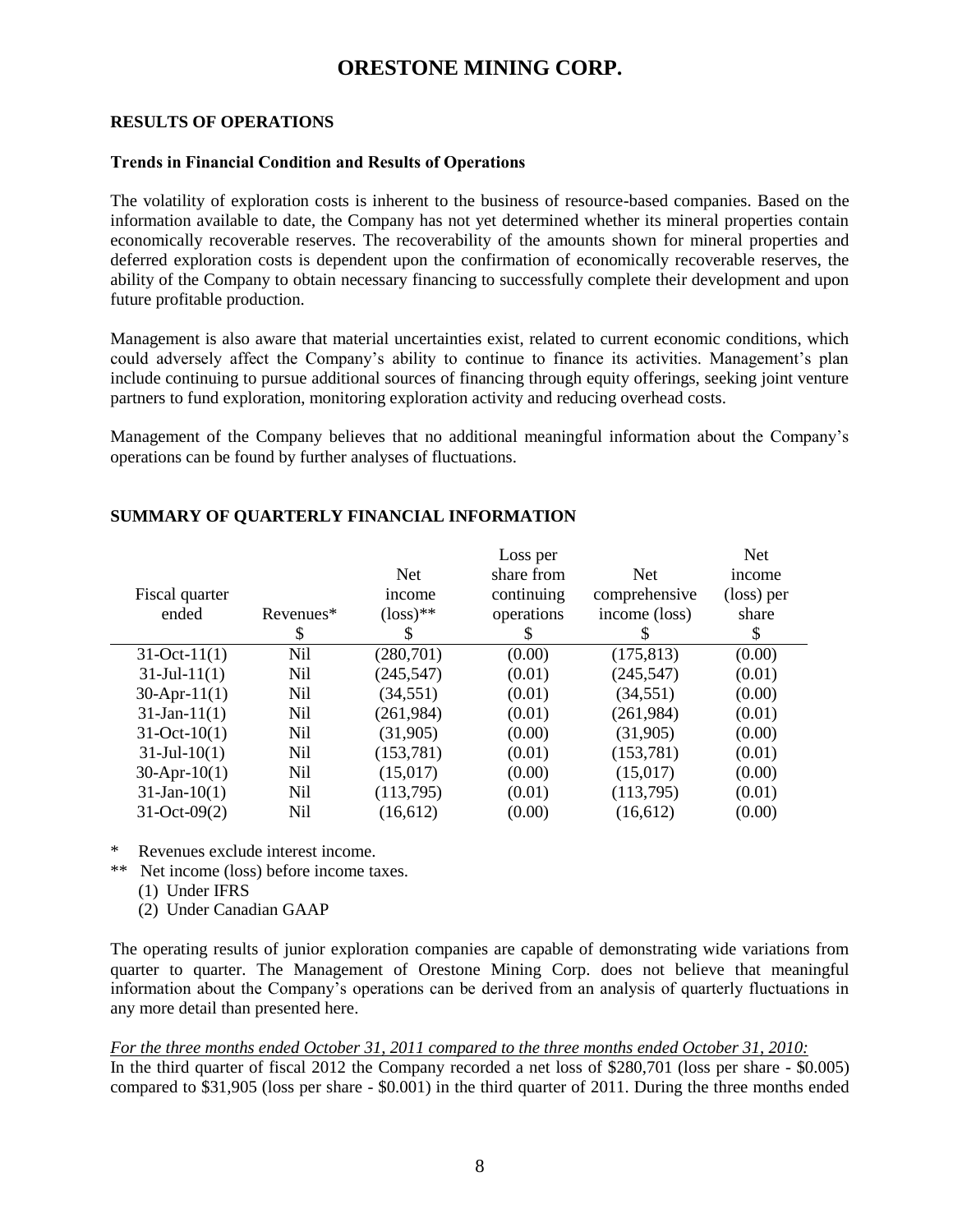#### **RESULTS OF OPERATIONS**

#### **Trends in Financial Condition and Results of Operations**

The volatility of exploration costs is inherent to the business of resource-based companies. Based on the information available to date, the Company has not yet determined whether its mineral properties contain economically recoverable reserves. The recoverability of the amounts shown for mineral properties and deferred exploration costs is dependent upon the confirmation of economically recoverable reserves, the ability of the Company to obtain necessary financing to successfully complete their development and upon future profitable production.

Management is also aware that material uncertainties exist, related to current economic conditions, which could adversely affect the Company's ability to continue to finance its activities. Management's plan include continuing to pursue additional sources of financing through equity offerings, seeking joint venture partners to fund exploration, monitoring exploration activity and reducing overhead costs.

Management of the Company believes that no additional meaningful information about the Company's operations can be found by further analyses of fluctuations.

|                    |            |                      | Loss per   |               | <b>Net</b> |
|--------------------|------------|----------------------|------------|---------------|------------|
|                    |            | <b>Net</b>           | share from | <b>Net</b>    | income     |
| Fiscal quarter     |            | income               | continuing | comprehensive | (loss) per |
| ended              | Revenues*  | $(\text{loss})^{**}$ | operations | income (loss) | share      |
|                    | \$         | S                    | S          |               | \$         |
| $31-Oct-11(1)$     | Nil        | (280,701)            | (0.00)     | (175, 813)    | (0.00)     |
| $31$ -Jul-11(1)    | Nil        | (245, 547)           | (0.01)     | (245, 547)    | (0.01)     |
| $30-Apr-11(1)$     | <b>Nil</b> | (34, 551)            | (0.01)     | (34, 551)     | (0.00)     |
| $31-Jan-11(1)$     | Nil        | (261, 984)           | (0.01)     | (261, 984)    | (0.01)     |
| $31-Oct-10(1)$     | Nil        | (31,905)             | (0.00)     | (31,905)      | (0.00)     |
| $31$ -Jul- $10(1)$ | Nil        | (153, 781)           | (0.01)     | (153, 781)    | (0.01)     |
| $30-Apr-10(1)$     | Nil        | (15,017)             | (0.00)     | (15,017)      | (0.00)     |
| $31-Jan-10(1)$     | Nil        | (113,795)            | (0.01)     | (113,795)     | (0.01)     |
| $31-Oct-09(2)$     | Nil        | (16, 612)            | (0.00)     | (16,612)      | (0.00)     |

#### **SUMMARY OF QUARTERLY FINANCIAL INFORMATION**

\* Revenues exclude interest income.

- \*\* Net income (loss) before income taxes.
	- (1) Under IFRS
	- (2) Under Canadian GAAP

The operating results of junior exploration companies are capable of demonstrating wide variations from quarter to quarter. The Management of Orestone Mining Corp. does not believe that meaningful information about the Company's operations can be derived from an analysis of quarterly fluctuations in any more detail than presented here.

### *For the three months ended October 31, 2011 compared to the three months ended October 31, 2010:*

In the third quarter of fiscal 2012 the Company recorded a net loss of \$280,701 (loss per share - \$0.005) compared to \$31,905 (loss per share - \$0.001) in the third quarter of 2011. During the three months ended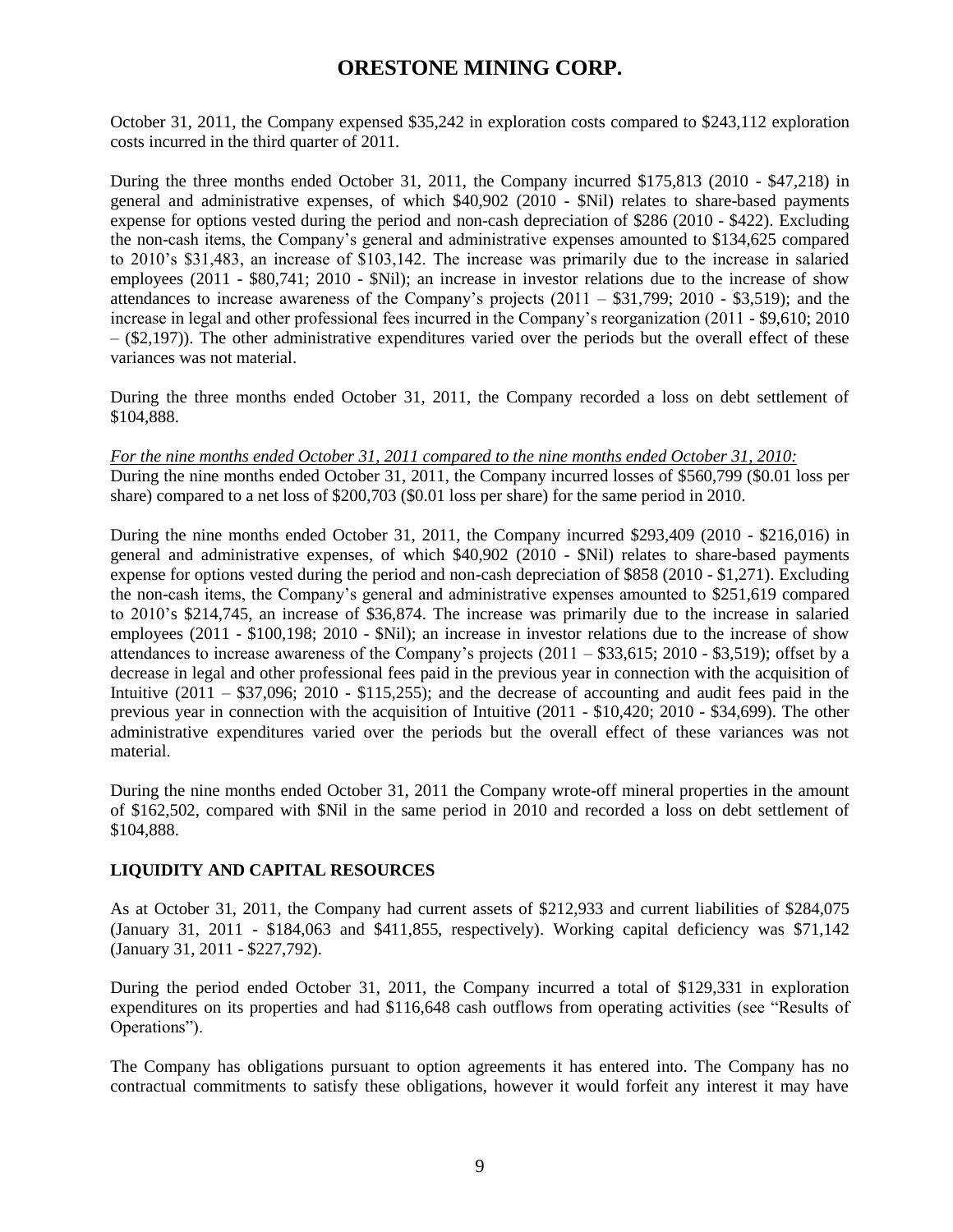October 31, 2011, the Company expensed \$35,242 in exploration costs compared to \$243,112 exploration costs incurred in the third quarter of 2011.

During the three months ended October 31, 2011, the Company incurred \$175,813 (2010 - \$47,218) in general and administrative expenses, of which \$40,902 (2010 - \$Nil) relates to share-based payments expense for options vested during the period and non-cash depreciation of \$286 (2010 - \$422). Excluding the non-cash items, the Company's general and administrative expenses amounted to \$134,625 compared to 2010's \$31,483, an increase of \$103,142. The increase was primarily due to the increase in salaried employees (2011 - \$80,741; 2010 - \$Nil); an increase in investor relations due to the increase of show attendances to increase awareness of the Company's projects  $(2011 - $31,799; 2010 - $3,519)$ ; and the increase in legal and other professional fees incurred in the Company's reorganization (2011 - \$9,610; 2010  $-$  (\$2,197)). The other administrative expenditures varied over the periods but the overall effect of these variances was not material.

During the three months ended October 31, 2011, the Company recorded a loss on debt settlement of \$104,888.

*For the nine months ended October 31, 2011 compared to the nine months ended October 31, 2010:* During the nine months ended October 31, 2011, the Company incurred losses of \$560,799 (\$0.01 loss per share) compared to a net loss of \$200,703 (\$0.01 loss per share) for the same period in 2010.

During the nine months ended October 31, 2011, the Company incurred \$293,409 (2010 - \$216,016) in general and administrative expenses, of which \$40,902 (2010 - \$Nil) relates to share-based payments expense for options vested during the period and non-cash depreciation of \$858 (2010 - \$1,271). Excluding the non-cash items, the Company's general and administrative expenses amounted to \$251,619 compared to 2010's \$214,745, an increase of \$36,874. The increase was primarily due to the increase in salaried employees (2011 - \$100,198; 2010 - \$Nil); an increase in investor relations due to the increase of show attendances to increase awareness of the Company's projects  $(2011 - $33,615; 2010 - $3,519)$ ; offset by a decrease in legal and other professional fees paid in the previous year in connection with the acquisition of Intuitive  $(2011 - $37,096; 2010 - $115,255)$ ; and the decrease of accounting and audit fees paid in the previous year in connection with the acquisition of Intuitive (2011 - \$10,420; 2010 - \$34,699). The other administrative expenditures varied over the periods but the overall effect of these variances was not material.

During the nine months ended October 31, 2011 the Company wrote-off mineral properties in the amount of \$162,502, compared with \$Nil in the same period in 2010 and recorded a loss on debt settlement of \$104,888.

## **LIQUIDITY AND CAPITAL RESOURCES**

As at October 31, 2011, the Company had current assets of \$212,933 and current liabilities of \$284,075 (January 31, 2011 - \$184,063 and \$411,855, respectively). Working capital deficiency was \$71,142 (January 31, 2011 - \$227,792).

During the period ended October 31, 2011, the Company incurred a total of \$129,331 in exploration expenditures on its properties and had \$116,648 cash outflows from operating activities (see "Results of Operations").

The Company has obligations pursuant to option agreements it has entered into. The Company has no contractual commitments to satisfy these obligations, however it would forfeit any interest it may have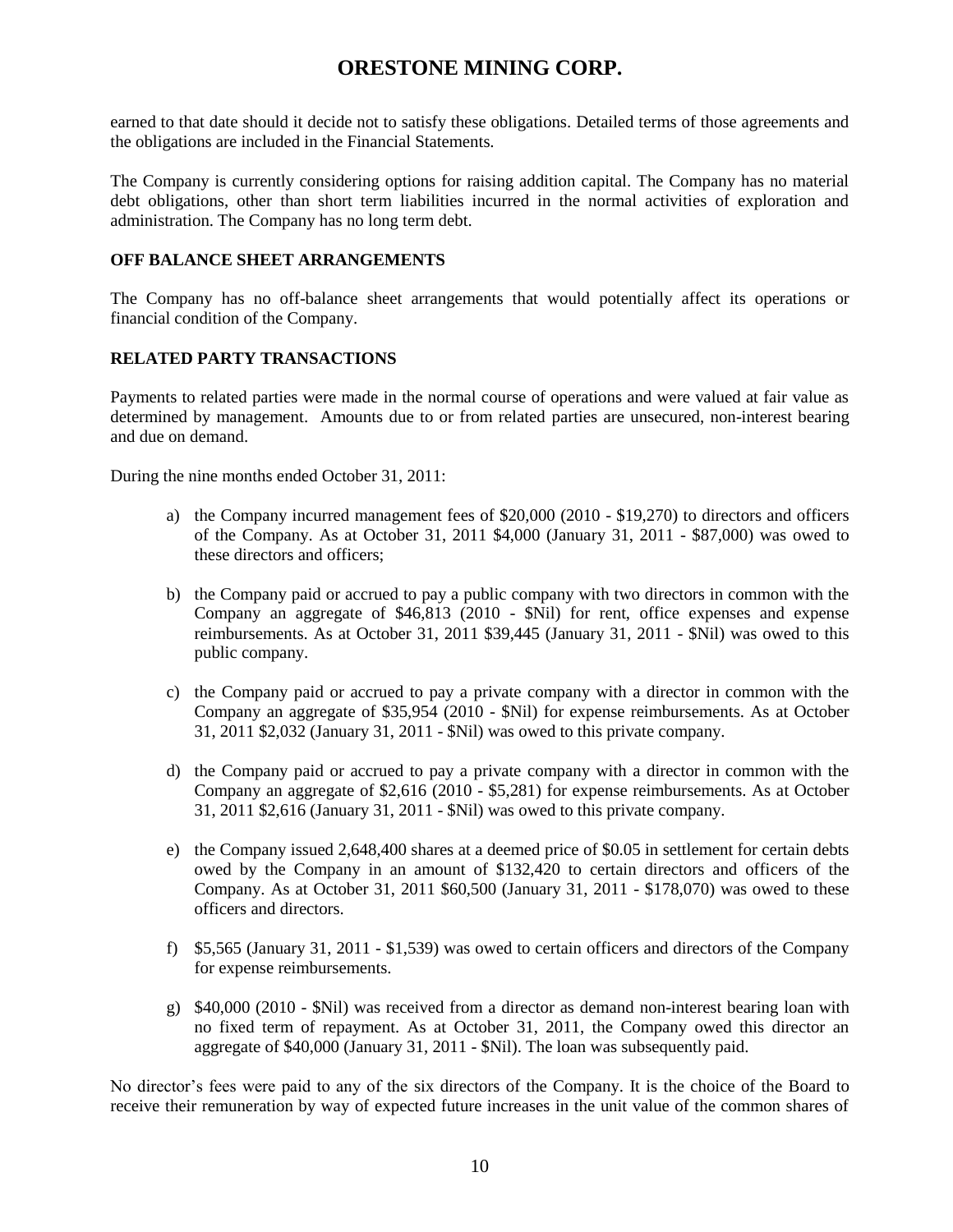earned to that date should it decide not to satisfy these obligations. Detailed terms of those agreements and the obligations are included in the Financial Statements.

The Company is currently considering options for raising addition capital. The Company has no material debt obligations, other than short term liabilities incurred in the normal activities of exploration and administration. The Company has no long term debt.

### **OFF BALANCE SHEET ARRANGEMENTS**

The Company has no off-balance sheet arrangements that would potentially affect its operations or financial condition of the Company.

## **RELATED PARTY TRANSACTIONS**

Payments to related parties were made in the normal course of operations and were valued at fair value as determined by management. Amounts due to or from related parties are unsecured, non-interest bearing and due on demand.

During the nine months ended October 31, 2011:

- a) the Company incurred management fees of \$20,000 (2010 \$19,270) to directors and officers of the Company. As at October 31, 2011 \$4,000 (January 31, 2011 - \$87,000) was owed to these directors and officers;
- b) the Company paid or accrued to pay a public company with two directors in common with the Company an aggregate of \$46,813 (2010 - \$Nil) for rent, office expenses and expense reimbursements. As at October 31, 2011 \$39,445 (January 31, 2011 - \$Nil) was owed to this public company.
- c) the Company paid or accrued to pay a private company with a director in common with the Company an aggregate of \$35,954 (2010 - \$Nil) for expense reimbursements. As at October 31, 2011 \$2,032 (January 31, 2011 - \$Nil) was owed to this private company.
- d) the Company paid or accrued to pay a private company with a director in common with the Company an aggregate of \$2,616 (2010 - \$5,281) for expense reimbursements. As at October 31, 2011 \$2,616 (January 31, 2011 - \$Nil) was owed to this private company.
- e) the Company issued 2,648,400 shares at a deemed price of \$0.05 in settlement for certain debts owed by the Company in an amount of \$132,420 to certain directors and officers of the Company. As at October 31, 2011 \$60,500 (January 31, 2011 - \$178,070) was owed to these officers and directors.
- f) \$5,565 (January 31, 2011 \$1,539) was owed to certain officers and directors of the Company for expense reimbursements.
- g) \$40,000 (2010 \$Nil) was received from a director as demand non-interest bearing loan with no fixed term of repayment. As at October 31, 2011, the Company owed this director an aggregate of \$40,000 (January 31, 2011 - \$Nil). The loan was subsequently paid.

No director's fees were paid to any of the six directors of the Company. It is the choice of the Board to receive their remuneration by way of expected future increases in the unit value of the common shares of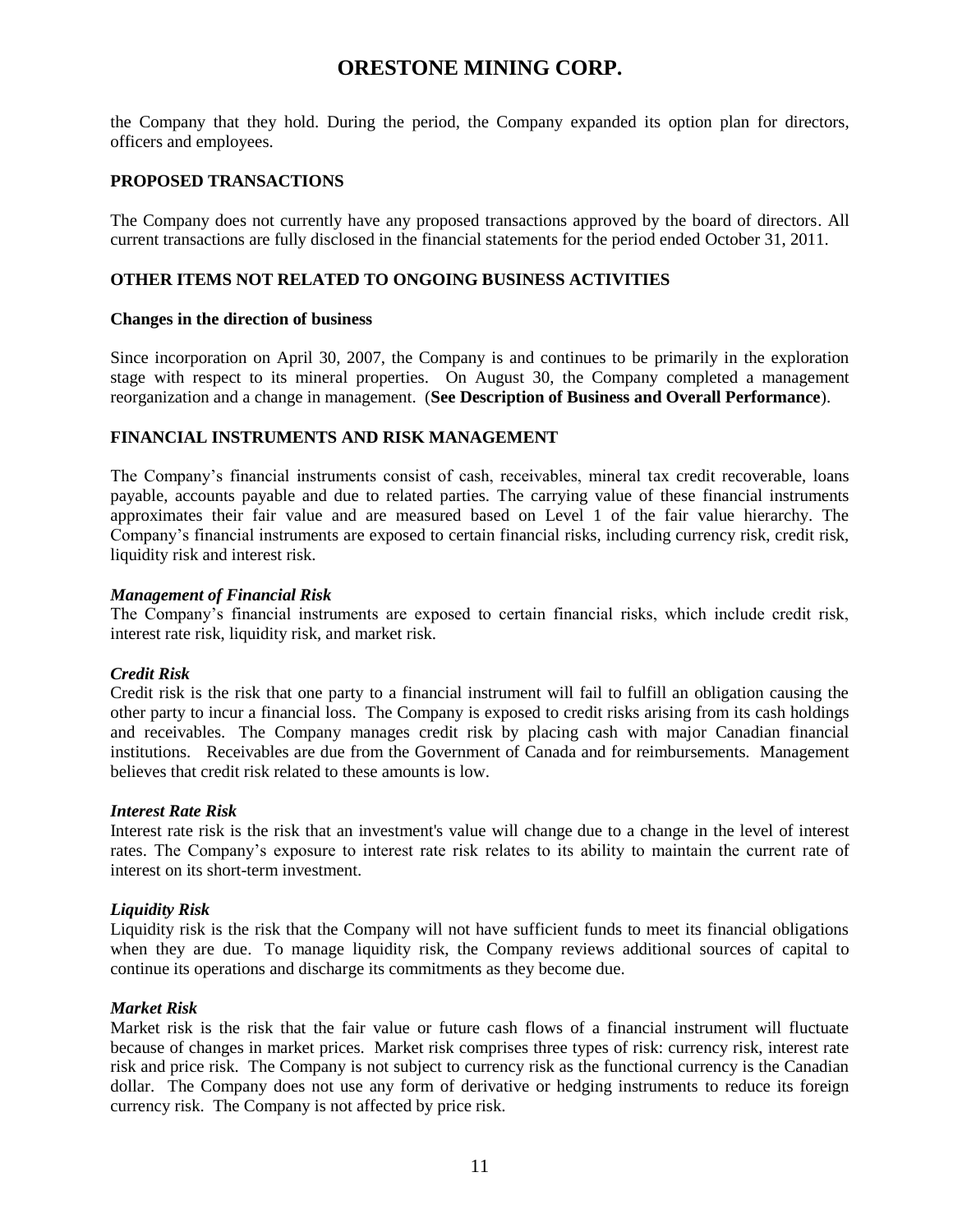the Company that they hold. During the period, the Company expanded its option plan for directors, officers and employees.

### **PROPOSED TRANSACTIONS**

The Company does not currently have any proposed transactions approved by the board of directors. All current transactions are fully disclosed in the financial statements for the period ended October 31, 2011.

### **OTHER ITEMS NOT RELATED TO ONGOING BUSINESS ACTIVITIES**

#### **Changes in the direction of business**

Since incorporation on April 30, 2007, the Company is and continues to be primarily in the exploration stage with respect to its mineral properties. On August 30, the Company completed a management reorganization and a change in management. (**See Description of Business and Overall Performance**).

### **FINANCIAL INSTRUMENTS AND RISK MANAGEMENT**

The Company's financial instruments consist of cash, receivables, mineral tax credit recoverable, loans payable, accounts payable and due to related parties. The carrying value of these financial instruments approximates their fair value and are measured based on Level 1 of the fair value hierarchy. The Company's financial instruments are exposed to certain financial risks, including currency risk, credit risk, liquidity risk and interest risk.

#### *Management of Financial Risk*

The Company's financial instruments are exposed to certain financial risks, which include credit risk, interest rate risk, liquidity risk, and market risk.

### *Credit Risk*

Credit risk is the risk that one party to a financial instrument will fail to fulfill an obligation causing the other party to incur a financial loss. The Company is exposed to credit risks arising from its cash holdings and receivables. The Company manages credit risk by placing cash with major Canadian financial institutions. Receivables are due from the Government of Canada and for reimbursements. Management believes that credit risk related to these amounts is low.

#### *Interest Rate Risk*

Interest rate risk is the risk that an investment's value will change due to a change in the level of interest rates. The Company's exposure to interest rate risk relates to its ability to maintain the current rate of interest on its short-term investment.

### *Liquidity Risk*

Liquidity risk is the risk that the Company will not have sufficient funds to meet its financial obligations when they are due. To manage liquidity risk, the Company reviews additional sources of capital to continue its operations and discharge its commitments as they become due.

### *Market Risk*

Market risk is the risk that the fair value or future cash flows of a financial instrument will fluctuate because of changes in market prices. Market risk comprises three types of risk: currency risk, interest rate risk and price risk. The Company is not subject to currency risk as the functional currency is the Canadian dollar. The Company does not use any form of derivative or hedging instruments to reduce its foreign currency risk. The Company is not affected by price risk.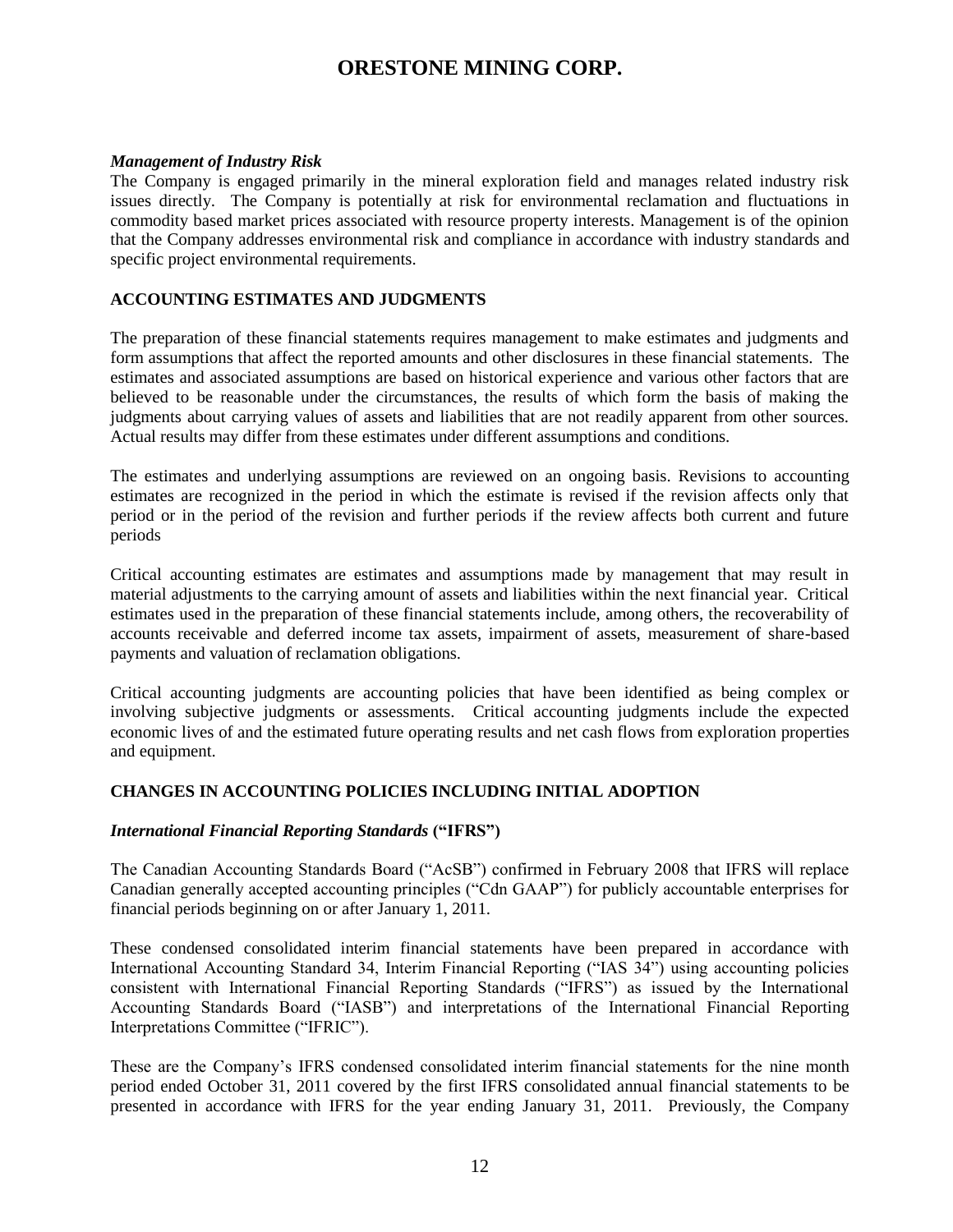### *Management of Industry Risk*

The Company is engaged primarily in the mineral exploration field and manages related industry risk issues directly. The Company is potentially at risk for environmental reclamation and fluctuations in commodity based market prices associated with resource property interests. Management is of the opinion that the Company addresses environmental risk and compliance in accordance with industry standards and specific project environmental requirements.

### **ACCOUNTING ESTIMATES AND JUDGMENTS**

The preparation of these financial statements requires management to make estimates and judgments and form assumptions that affect the reported amounts and other disclosures in these financial statements. The estimates and associated assumptions are based on historical experience and various other factors that are believed to be reasonable under the circumstances, the results of which form the basis of making the judgments about carrying values of assets and liabilities that are not readily apparent from other sources. Actual results may differ from these estimates under different assumptions and conditions.

The estimates and underlying assumptions are reviewed on an ongoing basis. Revisions to accounting estimates are recognized in the period in which the estimate is revised if the revision affects only that period or in the period of the revision and further periods if the review affects both current and future periods

Critical accounting estimates are estimates and assumptions made by management that may result in material adjustments to the carrying amount of assets and liabilities within the next financial year. Critical estimates used in the preparation of these financial statements include, among others, the recoverability of accounts receivable and deferred income tax assets, impairment of assets, measurement of share-based payments and valuation of reclamation obligations.

Critical accounting judgments are accounting policies that have been identified as being complex or involving subjective judgments or assessments. Critical accounting judgments include the expected economic lives of and the estimated future operating results and net cash flows from exploration properties and equipment.

### **CHANGES IN ACCOUNTING POLICIES INCLUDING INITIAL ADOPTION**

### *International Financial Reporting Standards* **("IFRS")**

The Canadian Accounting Standards Board ("AcSB") confirmed in February 2008 that IFRS will replace Canadian generally accepted accounting principles ("Cdn GAAP") for publicly accountable enterprises for financial periods beginning on or after January 1, 2011.

These condensed consolidated interim financial statements have been prepared in accordance with International Accounting Standard 34, Interim Financial Reporting ("IAS 34") using accounting policies consistent with International Financial Reporting Standards ("IFRS") as issued by the International Accounting Standards Board ("IASB") and interpretations of the International Financial Reporting Interpretations Committee ("IFRIC").

These are the Company's IFRS condensed consolidated interim financial statements for the nine month period ended October 31, 2011 covered by the first IFRS consolidated annual financial statements to be presented in accordance with IFRS for the year ending January 31, 2011. Previously, the Company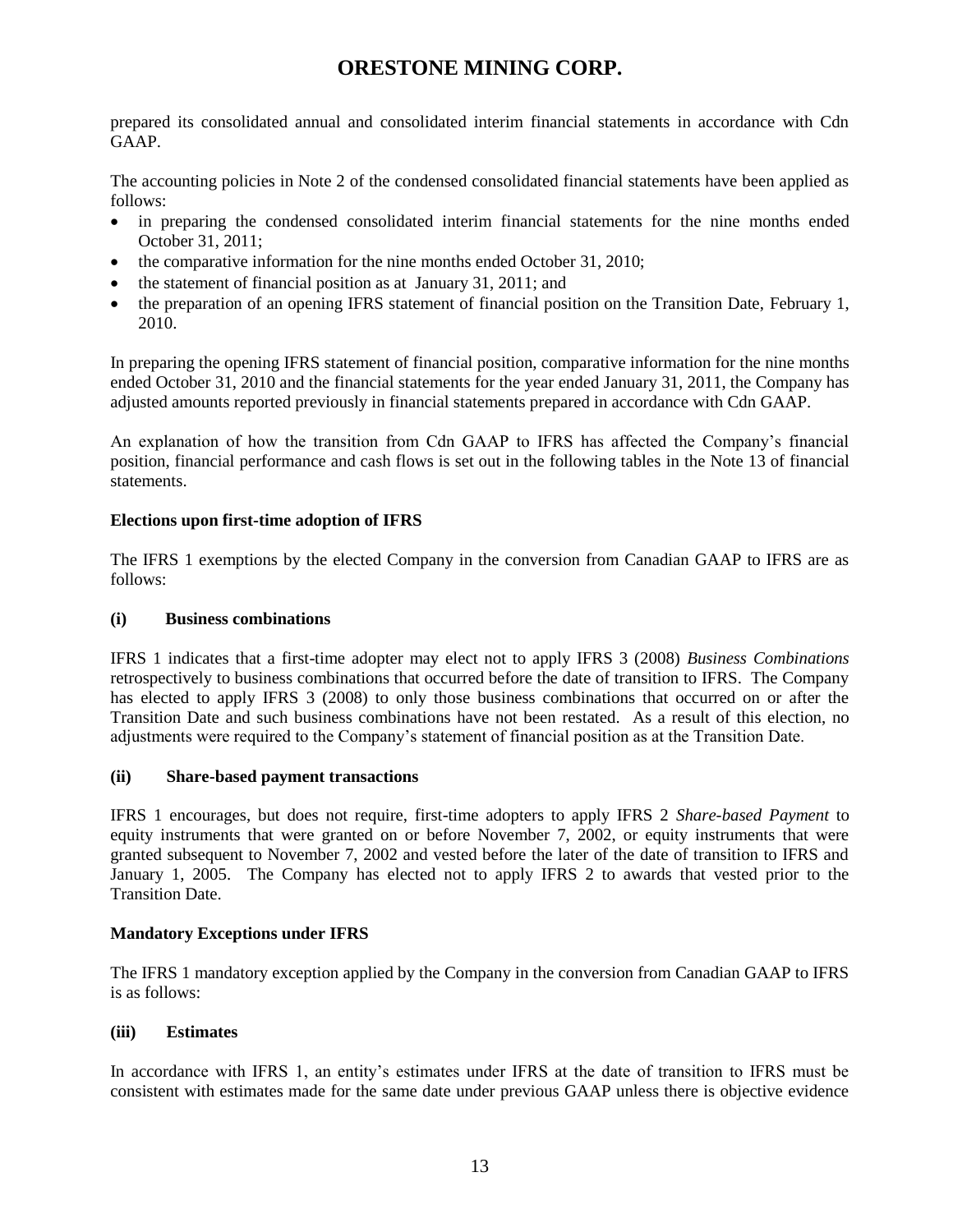prepared its consolidated annual and consolidated interim financial statements in accordance with Cdn GAAP.

The accounting policies in Note 2 of the condensed consolidated financial statements have been applied as follows:

- in preparing the condensed consolidated interim financial statements for the nine months ended October 31, 2011;
- the comparative information for the nine months ended October 31, 2010;
- the statement of financial position as at January 31, 2011; and
- the preparation of an opening IFRS statement of financial position on the Transition Date, February 1, 2010.

In preparing the opening IFRS statement of financial position, comparative information for the nine months ended October 31, 2010 and the financial statements for the year ended January 31, 2011, the Company has adjusted amounts reported previously in financial statements prepared in accordance with Cdn GAAP.

An explanation of how the transition from Cdn GAAP to IFRS has affected the Company's financial position, financial performance and cash flows is set out in the following tables in the Note 13 of financial statements.

## **Elections upon first-time adoption of IFRS**

The IFRS 1 exemptions by the elected Company in the conversion from Canadian GAAP to IFRS are as follows:

### **(i) Business combinations**

IFRS 1 indicates that a first-time adopter may elect not to apply IFRS 3 (2008) *Business Combinations* retrospectively to business combinations that occurred before the date of transition to IFRS. The Company has elected to apply IFRS 3 (2008) to only those business combinations that occurred on or after the Transition Date and such business combinations have not been restated. As a result of this election, no adjustments were required to the Company's statement of financial position as at the Transition Date.

### **(ii) Share-based payment transactions**

IFRS 1 encourages, but does not require, first-time adopters to apply IFRS 2 *Share-based Payment* to equity instruments that were granted on or before November 7, 2002, or equity instruments that were granted subsequent to November 7, 2002 and vested before the later of the date of transition to IFRS and January 1, 2005. The Company has elected not to apply IFRS 2 to awards that vested prior to the Transition Date.

## **Mandatory Exceptions under IFRS**

The IFRS 1 mandatory exception applied by the Company in the conversion from Canadian GAAP to IFRS is as follows:

## **(iii) Estimates**

In accordance with IFRS 1, an entity's estimates under IFRS at the date of transition to IFRS must be consistent with estimates made for the same date under previous GAAP unless there is objective evidence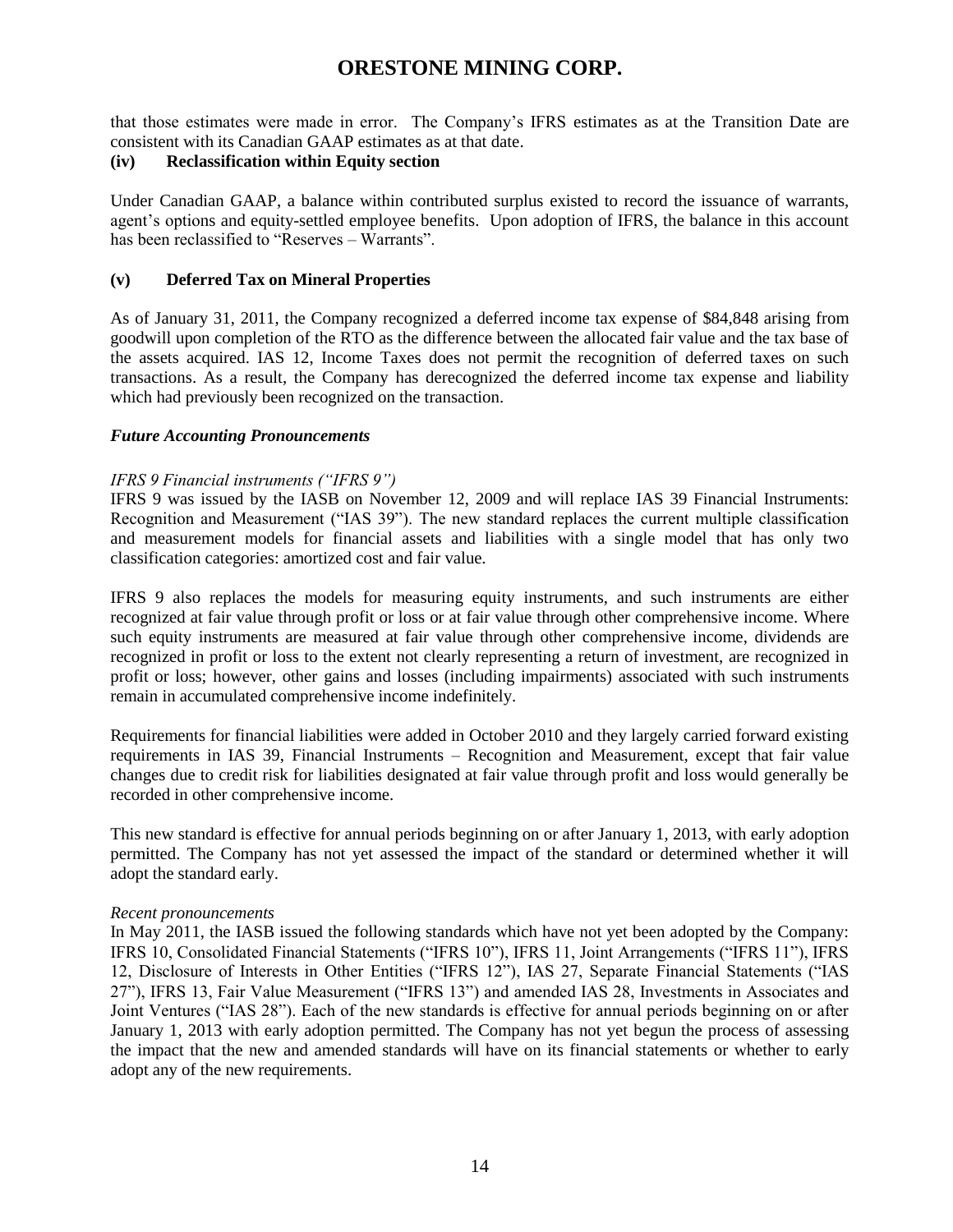that those estimates were made in error. The Company's IFRS estimates as at the Transition Date are consistent with its Canadian GAAP estimates as at that date.

### **(iv) Reclassification within Equity section**

Under Canadian GAAP, a balance within contributed surplus existed to record the issuance of warrants, agent's options and equity-settled employee benefits. Upon adoption of IFRS, the balance in this account has been reclassified to "Reserves – Warrants".

### **(v) Deferred Tax on Mineral Properties**

As of January 31, 2011, the Company recognized a deferred income tax expense of \$84,848 arising from goodwill upon completion of the RTO as the difference between the allocated fair value and the tax base of the assets acquired. IAS 12, Income Taxes does not permit the recognition of deferred taxes on such transactions. As a result, the Company has derecognized the deferred income tax expense and liability which had previously been recognized on the transaction.

### *Future Accounting Pronouncements*

### *IFRS 9 Financial instruments ("IFRS 9")*

IFRS 9 was issued by the IASB on November 12, 2009 and will replace IAS 39 Financial Instruments: Recognition and Measurement ("IAS 39"). The new standard replaces the current multiple classification and measurement models for financial assets and liabilities with a single model that has only two classification categories: amortized cost and fair value.

IFRS 9 also replaces the models for measuring equity instruments, and such instruments are either recognized at fair value through profit or loss or at fair value through other comprehensive income. Where such equity instruments are measured at fair value through other comprehensive income, dividends are recognized in profit or loss to the extent not clearly representing a return of investment, are recognized in profit or loss; however, other gains and losses (including impairments) associated with such instruments remain in accumulated comprehensive income indefinitely.

Requirements for financial liabilities were added in October 2010 and they largely carried forward existing requirements in IAS 39, Financial Instruments – Recognition and Measurement, except that fair value changes due to credit risk for liabilities designated at fair value through profit and loss would generally be recorded in other comprehensive income.

This new standard is effective for annual periods beginning on or after January 1, 2013, with early adoption permitted. The Company has not yet assessed the impact of the standard or determined whether it will adopt the standard early.

### *Recent pronouncements*

In May 2011, the IASB issued the following standards which have not yet been adopted by the Company: IFRS 10, Consolidated Financial Statements ("IFRS 10"), IFRS 11, Joint Arrangements ("IFRS 11"), IFRS 12, Disclosure of Interests in Other Entities ("IFRS 12"), IAS 27, Separate Financial Statements ("IAS 27"), IFRS 13, Fair Value Measurement ("IFRS 13") and amended IAS 28, Investments in Associates and Joint Ventures ("IAS 28"). Each of the new standards is effective for annual periods beginning on or after January 1, 2013 with early adoption permitted. The Company has not yet begun the process of assessing the impact that the new and amended standards will have on its financial statements or whether to early adopt any of the new requirements.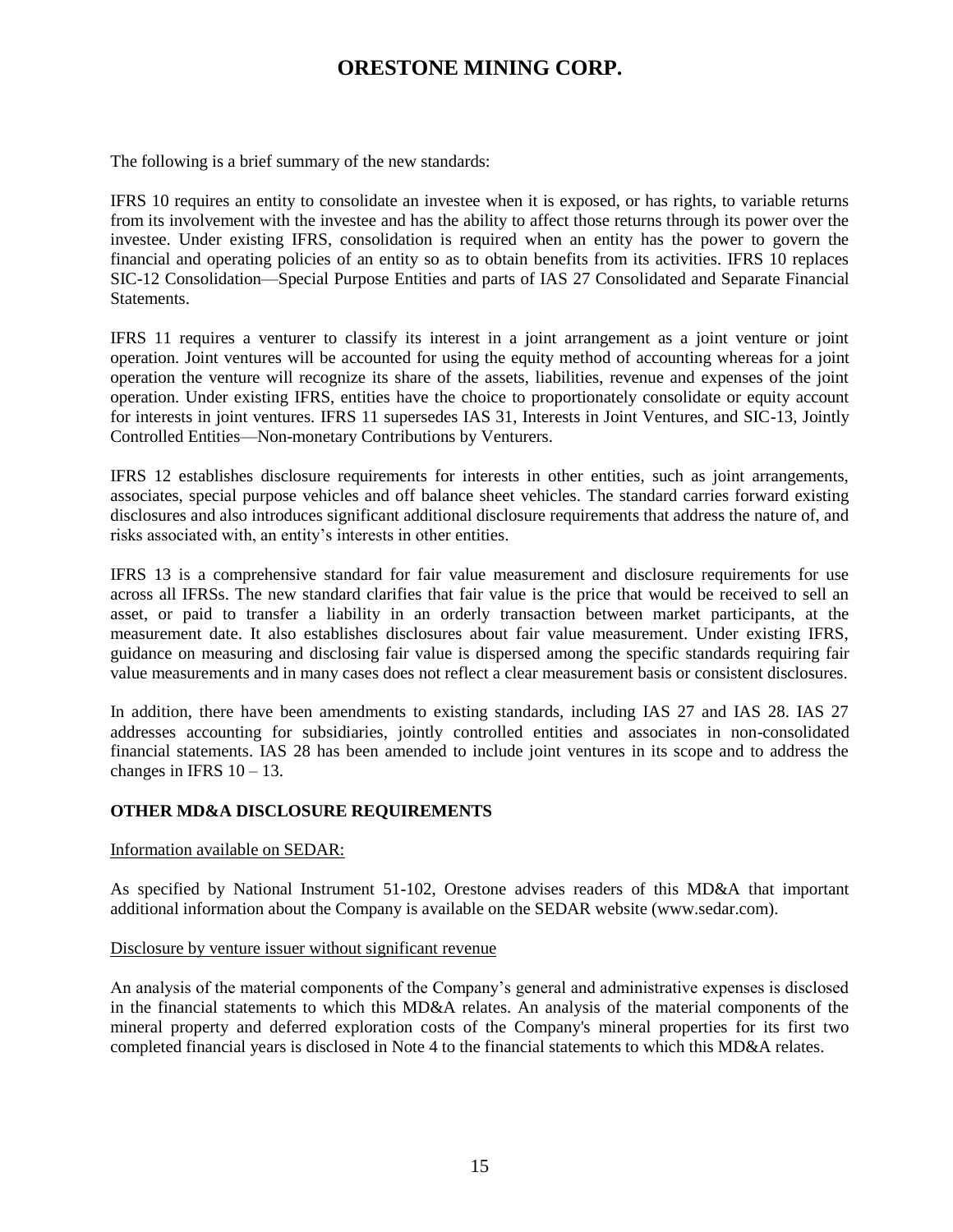The following is a brief summary of the new standards:

IFRS 10 requires an entity to consolidate an investee when it is exposed, or has rights, to variable returns from its involvement with the investee and has the ability to affect those returns through its power over the investee. Under existing IFRS, consolidation is required when an entity has the power to govern the financial and operating policies of an entity so as to obtain benefits from its activities. IFRS 10 replaces SIC-12 Consolidation—Special Purpose Entities and parts of IAS 27 Consolidated and Separate Financial Statements.

IFRS 11 requires a venturer to classify its interest in a joint arrangement as a joint venture or joint operation. Joint ventures will be accounted for using the equity method of accounting whereas for a joint operation the venture will recognize its share of the assets, liabilities, revenue and expenses of the joint operation. Under existing IFRS, entities have the choice to proportionately consolidate or equity account for interests in joint ventures. IFRS 11 supersedes IAS 31, Interests in Joint Ventures, and SIC-13, Jointly Controlled Entities—Non-monetary Contributions by Venturers.

IFRS 12 establishes disclosure requirements for interests in other entities, such as joint arrangements, associates, special purpose vehicles and off balance sheet vehicles. The standard carries forward existing disclosures and also introduces significant additional disclosure requirements that address the nature of, and risks associated with, an entity's interests in other entities.

IFRS 13 is a comprehensive standard for fair value measurement and disclosure requirements for use across all IFRSs. The new standard clarifies that fair value is the price that would be received to sell an asset, or paid to transfer a liability in an orderly transaction between market participants, at the measurement date. It also establishes disclosures about fair value measurement. Under existing IFRS, guidance on measuring and disclosing fair value is dispersed among the specific standards requiring fair value measurements and in many cases does not reflect a clear measurement basis or consistent disclosures.

In addition, there have been amendments to existing standards, including IAS 27 and IAS 28. IAS 27 addresses accounting for subsidiaries, jointly controlled entities and associates in non-consolidated financial statements. IAS 28 has been amended to include joint ventures in its scope and to address the changes in IFRS  $10 - 13$ .

### **OTHER MD&A DISCLOSURE REQUIREMENTS**

#### Information available on SEDAR:

As specified by National Instrument 51-102, Orestone advises readers of this MD&A that important additional information about the Company is available on the SEDAR website (www.sedar.com).

#### Disclosure by venture issuer without significant revenue

An analysis of the material components of the Company's general and administrative expenses is disclosed in the financial statements to which this MD&A relates. An analysis of the material components of the mineral property and deferred exploration costs of the Company's mineral properties for its first two completed financial years is disclosed in Note 4 to the financial statements to which this MD&A relates.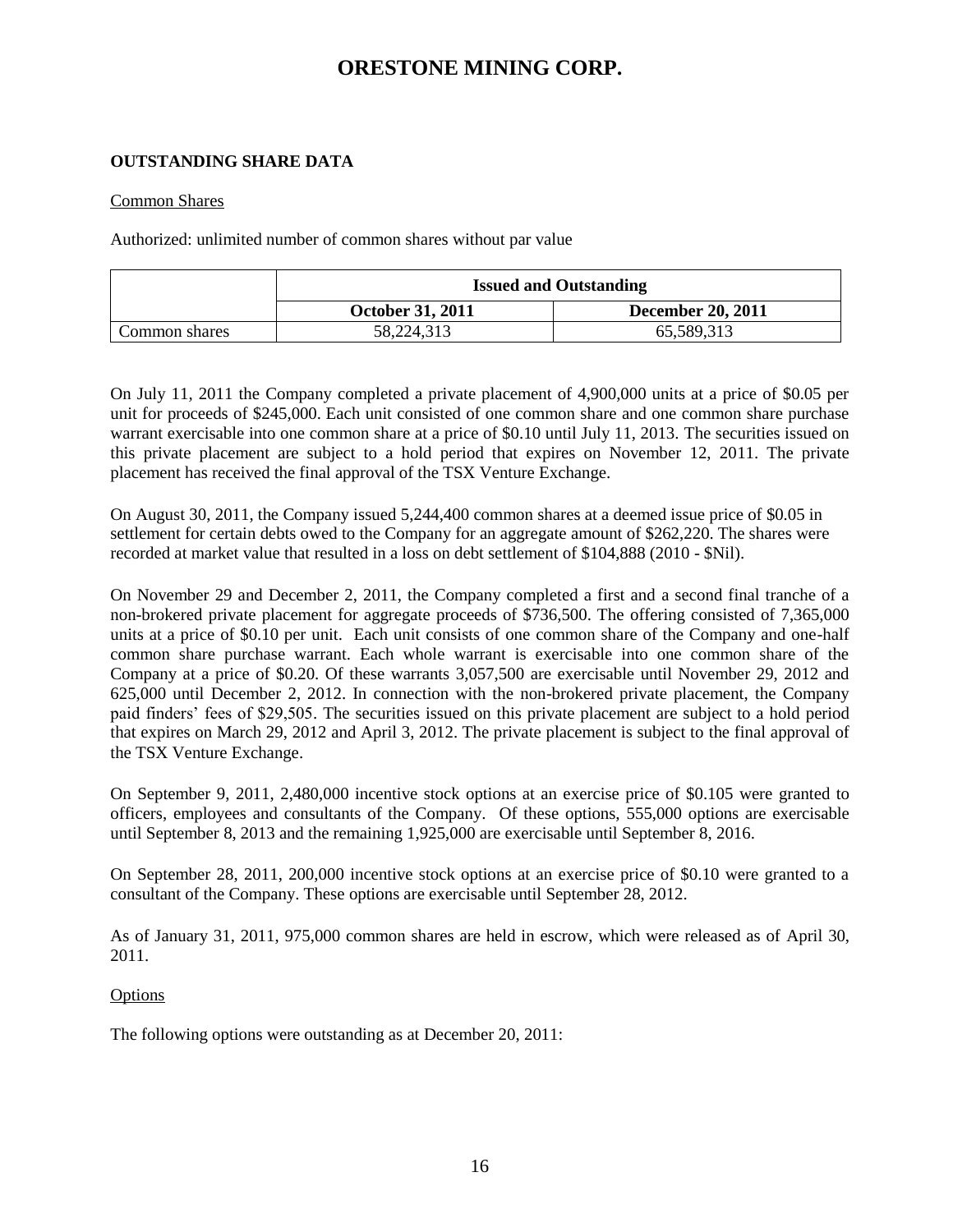### **OUTSTANDING SHARE DATA**

### Common Shares

Authorized: unlimited number of common shares without par value

|               | <b>Issued and Outstanding</b> |                          |  |
|---------------|-------------------------------|--------------------------|--|
|               | <b>October 31, 2011</b>       | <b>December 20, 2011</b> |  |
| Common shares | 58,224,313                    | 65,589,313               |  |

On July 11, 2011 the Company completed a private placement of 4,900,000 units at a price of \$0.05 per unit for proceeds of \$245,000. Each unit consisted of one common share and one common share purchase warrant exercisable into one common share at a price of \$0.10 until July 11, 2013. The securities issued on this private placement are subject to a hold period that expires on November 12, 2011. The private placement has received the final approval of the TSX Venture Exchange.

On August 30, 2011, the Company issued 5,244,400 common shares at a deemed issue price of \$0.05 in settlement for certain debts owed to the Company for an aggregate amount of \$262,220. The shares were recorded at market value that resulted in a loss on debt settlement of \$104,888 (2010 - \$Nil).

On November 29 and December 2, 2011, the Company completed a first and a second final tranche of a non-brokered private placement for aggregate proceeds of \$736,500. The offering consisted of 7,365,000 units at a price of \$0.10 per unit. Each unit consists of one common share of the Company and one-half common share purchase warrant. Each whole warrant is exercisable into one common share of the Company at a price of \$0.20. Of these warrants 3,057,500 are exercisable until November 29, 2012 and 625,000 until December 2, 2012. In connection with the non-brokered private placement, the Company paid finders' fees of \$29,505. The securities issued on this private placement are subject to a hold period that expires on March 29, 2012 and April 3, 2012. The private placement is subject to the final approval of the TSX Venture Exchange.

On September 9, 2011, 2,480,000 incentive stock options at an exercise price of \$0.105 were granted to officers, employees and consultants of the Company. Of these options, 555,000 options are exercisable until September 8, 2013 and the remaining 1,925,000 are exercisable until September 8, 2016.

On September 28, 2011, 200,000 incentive stock options at an exercise price of \$0.10 were granted to a consultant of the Company. These options are exercisable until September 28, 2012.

As of January 31, 2011, 975,000 common shares are held in escrow, which were released as of April 30, 2011.

### Options

The following options were outstanding as at December 20, 2011: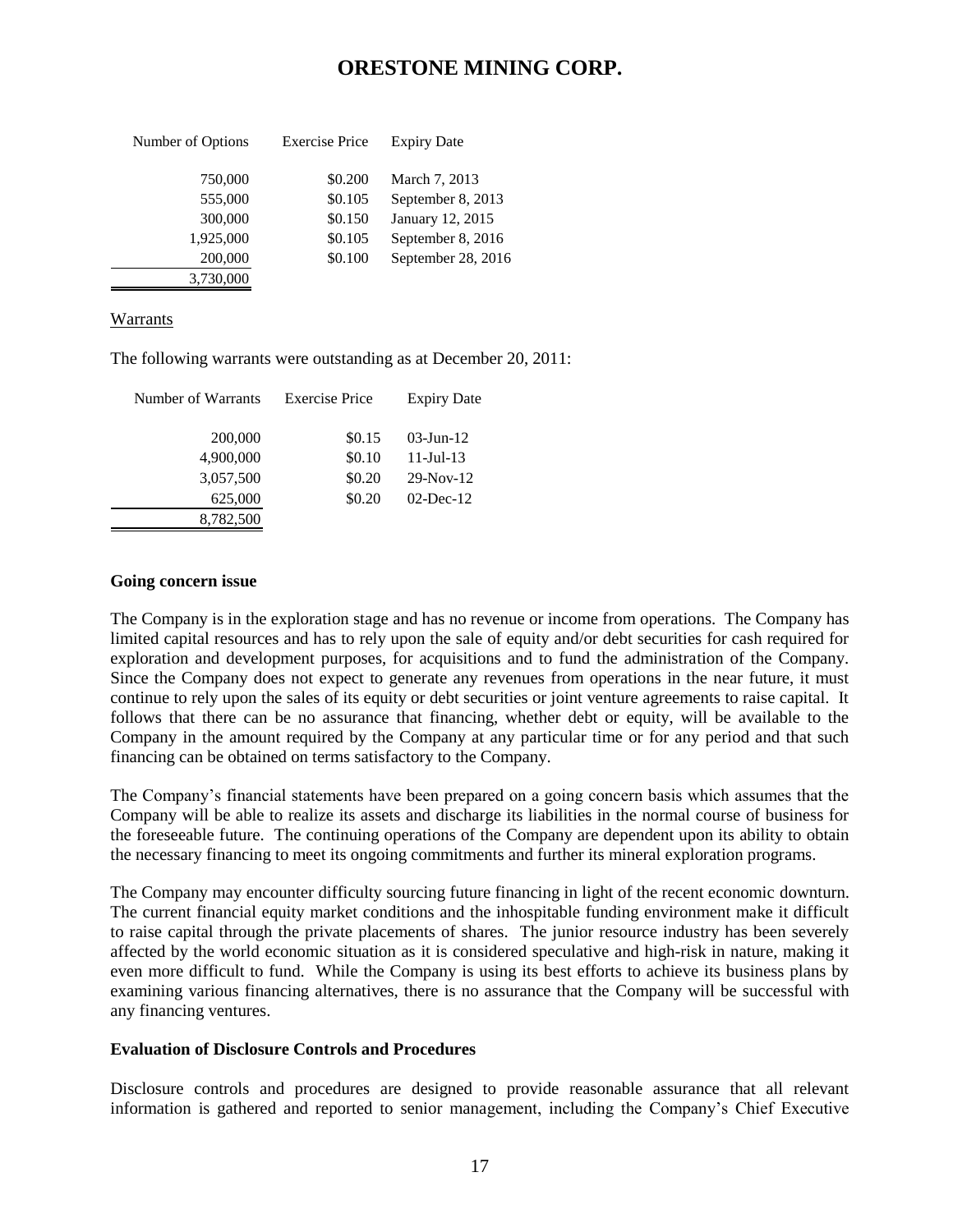| Number of Options | <b>Exercise Price</b> | <b>Expiry Date</b> |
|-------------------|-----------------------|--------------------|
| 750,000           | \$0.200               | March 7, 2013      |
| 555,000           | \$0.105               | September 8, 2013  |
| 300,000           | \$0.150               | January 12, 2015   |
| 1,925,000         | \$0.105               | September 8, 2016  |
| 200,000           | \$0.100               | September 28, 2016 |
| 3,730,000         |                       |                    |

### Warrants

The following warrants were outstanding as at December 20, 2011:

| Number of Warrants | <b>Exercise Price</b> | <b>Expiry Date</b> |  |  |
|--------------------|-----------------------|--------------------|--|--|
| 200,000            | \$0.15                | $03$ -Jun-12       |  |  |
| 4,900,000          | \$0.10                | $11 -$ Jul - $13$  |  |  |
| 3,057,500          | \$0.20                | $29-Nov-12$        |  |  |
| 625,000            | \$0.20                | $02$ -Dec-12       |  |  |
| 8,782,500          |                       |                    |  |  |

#### **Going concern issue**

The Company is in the exploration stage and has no revenue or income from operations. The Company has limited capital resources and has to rely upon the sale of equity and/or debt securities for cash required for exploration and development purposes, for acquisitions and to fund the administration of the Company. Since the Company does not expect to generate any revenues from operations in the near future, it must continue to rely upon the sales of its equity or debt securities or joint venture agreements to raise capital. It follows that there can be no assurance that financing, whether debt or equity, will be available to the Company in the amount required by the Company at any particular time or for any period and that such financing can be obtained on terms satisfactory to the Company.

The Company's financial statements have been prepared on a going concern basis which assumes that the Company will be able to realize its assets and discharge its liabilities in the normal course of business for the foreseeable future. The continuing operations of the Company are dependent upon its ability to obtain the necessary financing to meet its ongoing commitments and further its mineral exploration programs.

The Company may encounter difficulty sourcing future financing in light of the recent economic downturn. The current financial equity market conditions and the inhospitable funding environment make it difficult to raise capital through the private placements of shares. The junior resource industry has been severely affected by the world economic situation as it is considered speculative and high-risk in nature, making it even more difficult to fund. While the Company is using its best efforts to achieve its business plans by examining various financing alternatives, there is no assurance that the Company will be successful with any financing ventures.

### **Evaluation of Disclosure Controls and Procedures**

Disclosure controls and procedures are designed to provide reasonable assurance that all relevant information is gathered and reported to senior management, including the Company's Chief Executive